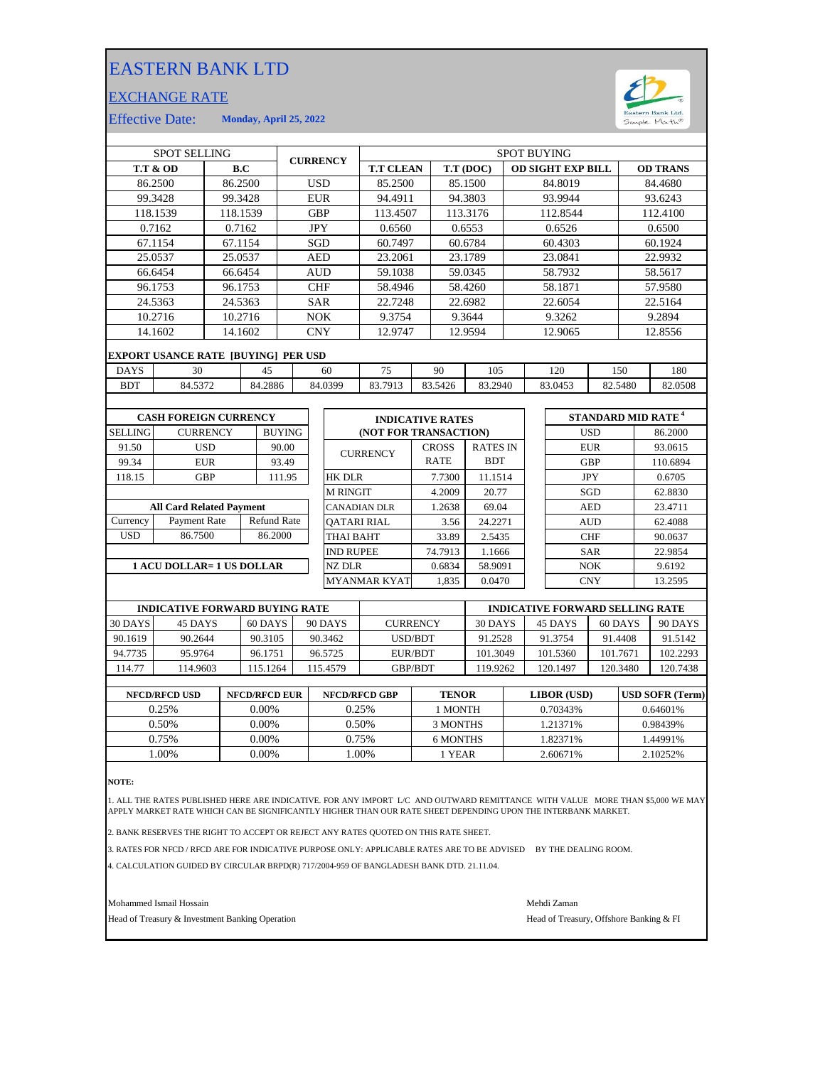## EASTERN BANK LTD

## EXCHANGE RATE



Effective Date: **Monday, April 25, 2022**

| <b>SPOT SELLING</b>                   |                                            |                    |         |                       | <b>CURRENCY</b>  |                         | <b>SPOT BUYING</b>    |                 |              |         |                 |                                        |                                      |                 |          |          |
|---------------------------------------|--------------------------------------------|--------------------|---------|-----------------------|------------------|-------------------------|-----------------------|-----------------|--------------|---------|-----------------|----------------------------------------|--------------------------------------|-----------------|----------|----------|
| <b>T.T &amp; OD</b>                   |                                            |                    | B.C     |                       |                  |                         | <b>T.T CLEAN</b>      |                 | T.T (DOC)    |         |                 | <b>OD SIGHT EXP BILL</b>               |                                      | <b>OD TRANS</b> |          |          |
| 86.2500<br>86.2500                    |                                            |                    |         | <b>USD</b>            |                  |                         | 85.2500               |                 |              | 85.1500 |                 | 84.8019                                |                                      | 84.4680         |          |          |
| 99.3428                               |                                            | 99.3428            |         |                       | <b>EUR</b>       |                         | 94.4911               |                 | 94.3803      |         |                 | 93.9944                                |                                      | 93.6243         |          |          |
| 118.1539                              |                                            | 118.1539           |         |                       | <b>GBP</b>       |                         | 113.4507              |                 | 113.3176     |         |                 | 112.8544                               |                                      |                 | 112.4100 |          |
|                                       | 0.7162                                     | 0.7162             |         |                       | <b>JPY</b>       |                         | 0.6560                |                 |              | 0.6553  |                 | 0.6526                                 |                                      |                 | 0.6500   |          |
|                                       | 67.1154                                    |                    | 67.1154 |                       |                  | SGD                     |                       | 60.7497         |              |         | 60.6784         |                                        | 60.4303                              |                 |          | 60.1924  |
|                                       | 25.0537                                    | 25.0537            |         |                       | <b>AED</b>       |                         | 23.2061               |                 | 23.1789      |         |                 | 23.0841                                |                                      |                 | 22.9932  |          |
|                                       | 66.6454                                    | 66.6454            |         |                       | <b>AUD</b>       |                         | 59.1038               |                 | 59.0345      |         |                 | 58.7932                                |                                      |                 | 58.5617  |          |
|                                       | 96.1753                                    |                    | 96.1753 |                       | <b>CHF</b>       |                         | 58.4946               |                 | 58.4260      |         |                 | 58.1871                                |                                      |                 | 57.9580  |          |
|                                       | 24.5363                                    | 24.5363            |         |                       | <b>SAR</b>       |                         | 22.7248               |                 |              | 22.6982 |                 | 22.6054                                |                                      |                 | 22.5164  |          |
|                                       | 10.2716                                    |                    | 10.2716 |                       | <b>NOK</b>       |                         | 9.3754                |                 |              | 9.3644  |                 | 9.3262                                 |                                      |                 | 9.2894   |          |
|                                       | 14.1602                                    |                    | 14.1602 |                       | <b>CNY</b>       |                         | 12.9747               |                 | 12.9594      |         |                 | 12.9065                                |                                      | 12.8556         |          |          |
|                                       | <b>EXPORT USANCE RATE [BUYING] PER USD</b> |                    |         |                       |                  |                         |                       |                 |              |         |                 |                                        |                                      |                 |          |          |
| <b>DAYS</b>                           | 30<br>45                                   |                    |         |                       | 60               |                         | 75<br>90              |                 |              | 105     |                 |                                        | 150                                  |                 | 180      |          |
| <b>BDT</b>                            | 84.5372<br>84.2886                         |                    |         | 84.0399               |                  |                         | 83.7913               |                 | 83.5426      | 83.2940 |                 | 82.5480<br>83.0453                     |                                      |                 | 82.0508  |          |
|                                       |                                            |                    |         |                       |                  |                         |                       |                 |              |         |                 |                                        |                                      |                 |          |          |
| <b>CASH FOREIGN CURRENCY</b>          |                                            |                    |         |                       |                  | <b>INDICATIVE RATES</b> |                       |                 |              |         |                 |                                        | <b>STANDARD MID RATE<sup>4</sup></b> |                 |          |          |
| <b>SELLING</b>                        |                                            | <b>CURRENCY</b>    |         | <b>BUYING</b>         |                  |                         | (NOT FOR TRANSACTION) |                 |              |         |                 |                                        | <b>USD</b>                           |                 |          | 86.2000  |
| 91.50                                 |                                            | <b>USD</b>         |         | 90.00                 |                  |                         | <b>CURRENCY</b>       |                 | <b>CROSS</b> |         | <b>RATES IN</b> |                                        |                                      | <b>EUR</b>      |          | 93.0615  |
| 99.34                                 |                                            | <b>EUR</b>         |         | 93.49                 |                  |                         |                       |                 | <b>RATE</b>  |         | <b>BDT</b>      |                                        |                                      | <b>GBP</b>      |          | 110.6894 |
| 118.15                                |                                            | <b>GBP</b>         |         | 111.95                |                  |                         | <b>HK DLR</b>         |                 |              | 7.7300  | 11.1514         |                                        |                                      | <b>JPY</b>      |          | 0.6705   |
|                                       |                                            |                    |         |                       |                  | <b>M RINGIT</b>         |                       |                 | 4.2009       | 20.77   |                 |                                        | SGD                                  |                 | 62.8830  |          |
| <b>All Card Related Payment</b>       |                                            |                    |         |                       |                  | <b>CANADIAN DLR</b>     |                       |                 | 1.2638       | 69.04   |                 |                                        | <b>AED</b>                           |                 | 23.4711  |          |
| Currency                              | Payment Rate                               | <b>Refund Rate</b> |         |                       |                  | <b>OATARI RIAL</b>      |                       |                 |              | 3.56    | 24.2271         |                                        |                                      | <b>AUD</b>      |          | 62.4088  |
| <b>USD</b>                            | 86.7500                                    | 86.2000            |         |                       | THAI BAHT        |                         |                       |                 | 33.89        | 2.5435  |                 |                                        | <b>CHF</b>                           |                 | 90.0637  |          |
|                                       |                                            |                    |         |                       | <b>IND RUPEE</b> |                         |                       |                 | 74.7913      | 1.1666  |                 |                                        | <b>SAR</b>                           |                 | 22.9854  |          |
| <b>1 ACU DOLLAR= 1 US DOLLAR</b>      |                                            |                    |         |                       |                  | <b>NZ DLR</b>           |                       |                 | 0.6834       | 58.9091 |                 |                                        | <b>NOK</b>                           |                 | 9.6192   |          |
|                                       |                                            |                    |         |                       |                  | <b>MYANMAR KYAT</b>     |                       |                 | 1.835        | 0.0470  |                 | <b>CNY</b>                             |                                      |                 | 13.2595  |          |
|                                       |                                            |                    |         |                       |                  |                         |                       |                 |              |         |                 |                                        |                                      |                 |          |          |
| <b>INDICATIVE FORWARD BUYING RATE</b> |                                            |                    |         |                       |                  |                         |                       |                 |              |         |                 | <b>INDICATIVE FORWARD SELLING RATE</b> |                                      |                 |          |          |
| 30 DAYS                               | 45 DAYS<br>.                               |                    |         | 60 DAYS<br>. <b>.</b> | 90 DAYS<br>.     |                         |                       | <b>CURRENCY</b> |              | 30 DAYS |                 | 45 DAYS<br>60 DAYS                     |                                      |                 | 90 DAYS  |          |

| 30 DAYS | 45 DAYS  | 60 DAYS  | 90 DAYS  | <b>CURRENCY</b> | 30 DAYS  | 45 DAYS  | 60 DAYS  | 90 DAYS  |
|---------|----------|----------|----------|-----------------|----------|----------|----------|----------|
| 90.1619 | 90.2644  | 90.3105  | 90.3462  | USD/BDT         | 91.2528  | 91.3754  | 91.4408  | 91.5142  |
| 94.7735 | 95.9764  | 96.1751  | 96.5725  | EUR/BDT         | 101.3049 | 101.5360 | 101.7671 | 102.2293 |
| 114.77  | 114.9603 | 115.1264 | 115.4579 | <b>GBP/BDT</b>  | 119.9262 | 120.1497 | 120.3480 | 120.7438 |
|         |          |          |          |                 |          |          |          |          |

| <b>NFCD/RFCD USD</b> | <b>NFCD/RFCD EUR</b> | <b>NFCD/RFCD GBP</b> | <b>TENOR</b> | <b>LIBOR</b> (USD) | <b>IUSD SOFR (Term)</b> |
|----------------------|----------------------|----------------------|--------------|--------------------|-------------------------|
| 0.25%                | 0.00%                | 0.25%                | I MONTH      | 0.70343%           | 0.64601%                |
| 0.50%                | 0.00%                | 0.50%                | 3 MONTHS     | 1.21371%           | 0.98439%                |
| 0.75%                | $0.00\%$             | 0.75%                | 6 MONTHS     | 1.82371%           | 1.44991%                |
| .00%                 | 0.00%                | .00%                 | l YEAR       | 2.60671%           | 2.10252%                |

**NOTE:**

1. ALL THE RATES PUBLISHED HERE ARE INDICATIVE. FOR ANY IMPORT L/C AND OUTWARD REMITTANCE WITH VALUE MORE THAN \$5,000 WE MAY<br>APPLY MARKET RATE WHICH CAN BE SIGNIFICANTLY HIGHER THAN OUR RATE SHEET DEPENDING UPON THE IN

2. BANK RESERVES THE RIGHT TO ACCEPT OR REJECT ANY RATES QUOTED ON THIS RATE SHEET.

3. RATES FOR NFCD / RFCD ARE FOR INDICATIVE PURPOSE ONLY: APPLICABLE RATES ARE TO BE ADVISED BY THE DEALING ROOM.

4. CALCULATION GUIDED BY CIRCULAR BRPD(R) 717/2004-959 OF BANGLADESH BANK DTD. 21.11.04.

Mohammed Ismail Hossain Mehdi Zaman

Head of Treasury & Investment Banking Operation **Head of Treasury, Offshore Banking & FI**